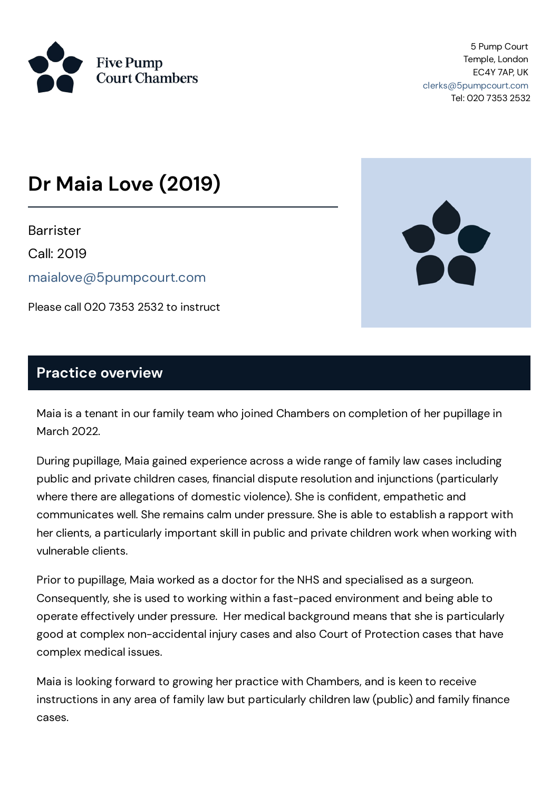

5 Pump Court Temple, London EC4Y 7AP, UK [clerks@5pumpcourt.com](mailto:clerks@5pumpcourt.com) Tel: 020 7353 2532

# **Dr Maia Love (2019)**

**Barrister** 

Call: 2019

[maialove@5pumpcourt.com](mailto:maialove@5pumpcourt.com)

Please call 020 7353 2532 to instruct



#### **Practice overview**

Maia is a tenant in our family team who joined Chambers on completion of her pupillage in March 2022.

During pupillage, Maia gained experience across a wide range of family law cases including public and private children cases, financial dispute resolution and injunctions (particularly where there are allegations of domestic violence). She is confident, empathetic and communicates well. She remains calm under pressure. She is able to establish a rapport with her clients, a particularly important skill in public and private children work when working with vulnerable clients.

Prior to pupillage, Maia worked as a doctor for the NHS and specialised as a surgeon. Consequently, she is used to working within a fast-paced environment and being able to operate effectively under pressure. Her medical background means that she is particularly good at complex non-accidental injury cases and also Court of Protection cases that have complex medical issues.

Maia is looking forward to growing her practice with Chambers, and is keen to receive instructions in any area of family law but particularly children law (public) and family finance cases.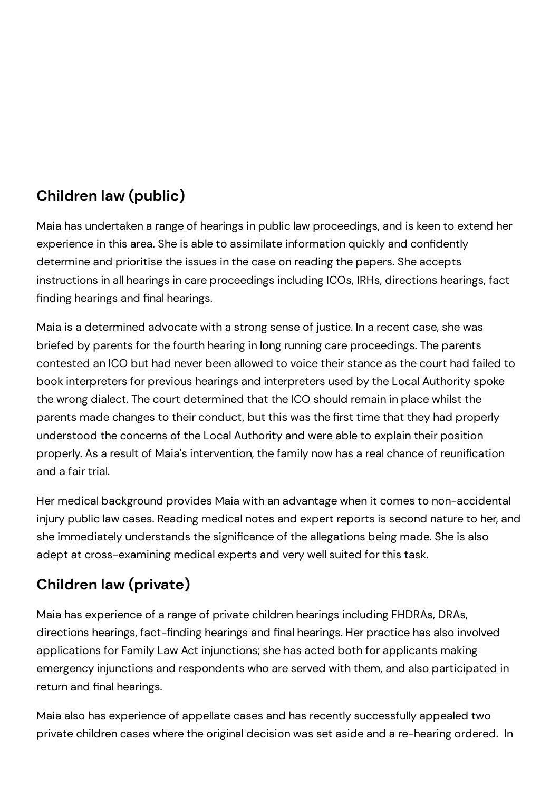# **Children law (public)**

Maia has undertaken a range of hearings in public law proceedings, and is keen to extend her experience in this area. She is able to assimilate information quickly and confidently determine and prioritise the issues in the case on reading the papers. She accepts instructions in all hearings in care proceedings including ICOs, IRHs, directions hearings, fact finding hearings and final hearings.

Maia is a determined advocate with a strong sense of justice. In a recent case, she was briefed by parents for the fourth hearing in long running care proceedings. The parents contested an ICO but had never been allowed to voice their stance as the court had failed to book interpreters for previous hearings and interpreters used by the Local Authority spoke the wrong dialect. The court determined that the ICO should remain in place whilst the parents made changes to their conduct, but this was the first time that they had properly understood the concerns of the Local Authority and were able to explain their position properly. As a result of Maia's intervention, the family now has a real chance of reunification and a fair trial.

Her medical background provides Maia with an advantage when it comes to non-accidental injury public law cases. Reading medical notes and expert reports is second nature to her, and she immediately understands the significance of the allegations being made. She is also adept at cross-examining medical experts and very well suited for this task.

# **Children law (private)**

Maia has experience of a range of private children hearings including FHDRAs, DRAs, directions hearings, fact-finding hearings and final hearings. Her practice has also involved applications for Family Law Act injunctions; she has acted both for applicants making emergency injunctions and respondents who are served with them, and also participated in return and final hearings.

Maia also has experience of appellate cases and has recently successfully appealed two private children cases where the original decision was set aside and a re-hearing ordered. In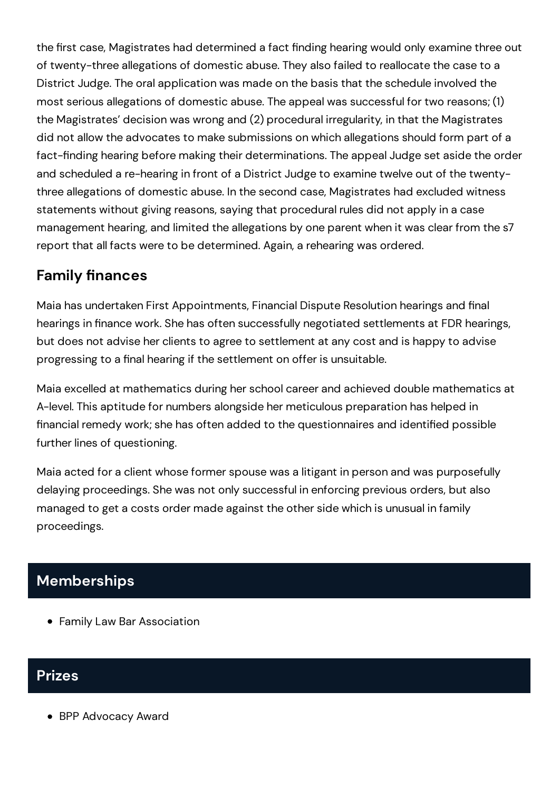the first case, Magistrates had determined a fact finding hearing would only examine three out of twenty-three allegations of domestic abuse. They also failed to reallocate the case to a District Judge. The oral application was made on the basis that the schedule involved the most serious allegations of domestic abuse. The appeal was successful for two reasons; (1) the Magistrates' decision was wrong and (2) procedural irregularity, in that the Magistrates did not allow the advocates to make submissions on which allegations should form part of a fact-finding hearing before making their determinations. The appeal Judge set aside the order and scheduled a re-hearing in front of a District Judge to examine twelve out of the twentythree allegations of domestic abuse. In the second case, Magistrates had excluded witness statements without giving reasons, saying that procedural rules did not apply in a case management hearing, and limited the allegations by one parent when it was clear from the s7 report that all facts were to be determined. Again, a rehearing was ordered.

## **Family finances**

Maia has undertaken First Appointments, Financial Dispute Resolution hearings and final hearings in finance work. She has often successfully negotiated settlements at FDR hearings, but does not advise her clients to agree to settlement at any cost and is happy to advise progressing to a final hearing if the settlement on offer is unsuitable.

Maia excelled at mathematics during herschool career and achieved double mathematics at A-level. This aptitude for numbers alongside her meticulous preparation has helped in financial remedy work; she has often added to the questionnaires and identified possible further lines of questioning.

Maia acted for a client whose former spouse was a litigant in person and was purposefully delaying proceedings. She was not only successful in enforcing previous orders, but also managed to get a costs order made against the other side which is unusual in family proceedings.

# **Memberships**

Family Law Bar Association

### **Prizes**

BPP Advocacy Award